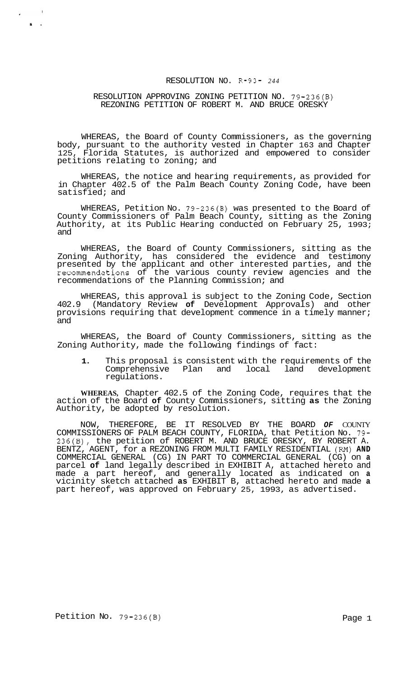# RESOLUTION NO. R-93- *244*

## RESOLUTION APPROVING ZONING PETITION NO. 79-236(B) REZONING PETITION OF ROBERT M. AND BRUCE ORESKY

WHEREAS, the Board of County Commissioners, as the governing body, pursuant to the authority vested in Chapter 163 and Chapter<br>125, Florida Statutes, is authorized and empowered to consider Florida Statutes, is authorized and empowered to consider petitions relating to zoning; and

WHEREAS, the notice and hearing requirements, as provided for in Chapter 402.5 of the Palm Beach County Zoning Code, have been satisfied; and

WHEREAS, Petition No. 79-236(B) was presented to the Board of County Commissioners of Palm Beach County, sitting as the Zoning Authority, at its Public Hearing conducted on February 25, 1993; and

WHEREAS, the Board of County Commissioners, sitting as the Zoning Authority, has considered the evidence and testimony presented by the applicant and other interested parties, and the recommendations of the various county review agencies and the recommendations of the Planning Commission; and

WHEREAS, this approval is subject to the Zoning Code, Section 402.9 (Mandatory Review **of** Development Approvals) and other provisions requiring that development commence in a timely manner; and

WHEREAS, the Board of County Commissioners, sitting as the Zoning Authority, made the following findings of fact:

**1.** This proposal is consistent with the requirements of the Comprehensive Plan and local land development regulations.

**WHEREAS,** Chapter 402.5 of the Zoning Code, requires that the action of the Board **of** County Commissioners, sitting **as** the Zoning Authority, be adopted by resolution.

NOW, THEREFORE, BE IT RESOLVED BY THE BOARD *OF* COUNTY COMMISSIONERS OF PALM BEACH COUNTY, FLORIDA, that Petition No. 79- 236(B), the petition of ROBERT M. AND BRUCE ORESKY, BY ROBERT A. BENTZ, AGENT, for a REZONING FROM MULTI FAMILY RESIDENTIAL **(RM) AND**  COMMERCIAL GENERAL (CG) IN PART TO COMMERCIAL GENERAL (CG) on **a**  parcel **of** land legally described in EXHIBIT A, attached hereto and made a part hereof, and generally located as indicated on **a**  vicinity sketch attached **as** EXHIBIT B, attached hereto and made **a**  part hereof, was approved on February 25, 1993, as advertised.

*t.* 

 $\epsilon$  .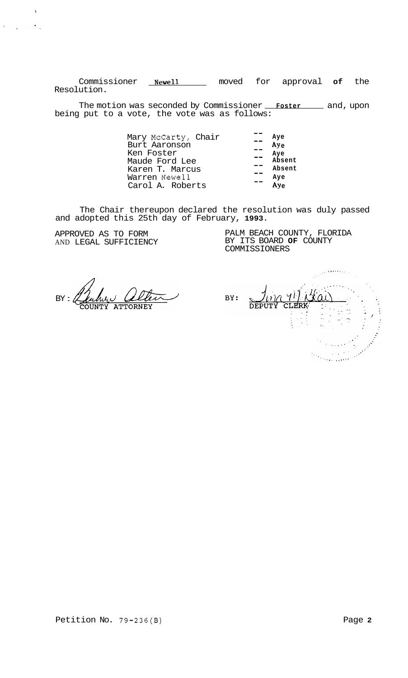Commissioner **Newell** moved for approval **of** the Resolution.

The motion was seconded by Commissioner **Foster** and, upon being put to a vote, the vote was as follows:

> Mary McCarty, Chair Burt Aaronson Ken Foster Maude Ford Lee Karen T. Marcus Warren Newell Carol A. Roberts -- **Aye AY e Aye Absent Absent Aye**  -- -- -- -- -- Ay<sub>e</sub>

The Chair thereupon declared the resolution was duly passed and adopted this 25th day of February, **1993.** 

APPROVED AS TO FORM AND LEGAL SUFFICIENCY

 $\bar{\mathcal{X}}$ 

 $\label{eq:3.1} \left\| \mathbf{1} \right\|_{\mathbb{R}^{2}} \leq \left\| \mathbf{1} \right\|_{\mathbb{R}^{2}} \leq \left\| \mathbf{1} \right\|_{\mathbb{R}^{2}} \frac{\left\| \mathbf{1} \right\|_{\mathbb{R}^{2}}}{\left\| \mathbf{1} \right\|_{\mathbb{R}^{2}}}$ 

PALM BEACH COUNTY, FLORIDA BY ITS BOARD **OF** COUNTY COMMISSIONERS

 $BY: \mathcal{C}$ 

BY: **CLERK**  $\frac{1}{2} \frac{1}{2} \frac{1}{2}$  $\frac{1}{2} \sum_{i=1}^{N}$  $\frac{1}{2} \left( \frac{1}{2} \right)^{2} e^{-\frac{1}{2} \left( \frac{1}{2} \right)^{2}}$ terre de la forma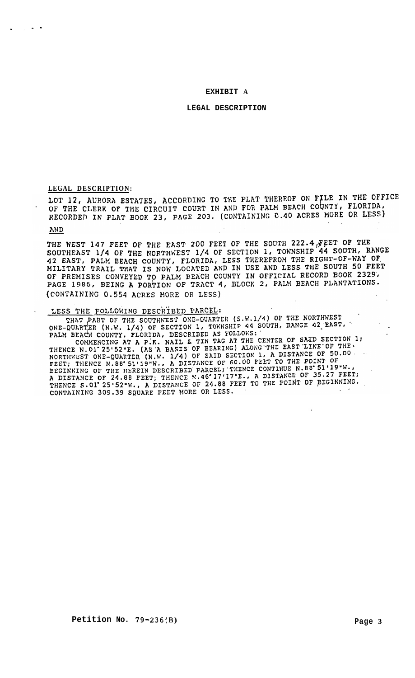### **EXHIBIT A**

#### **LEGAL DESCRIPTION**

LEGAL DESCRIPTION:<br>LOT 12, AURORA ESTATES, ACCORDING TO THE PLAT THEREOF ON FILE IN THE OFFICE OF THE CLERK OF THE CIRCUIT COURT IN AND FOR PALM BEACH COUNTY, FLORIDA, RECORDED IN PLAT BOOK 23, PAGE 203. (CONTAINING 0.40 ACRES MORE OR LESS)

## **AND**

-. **.I** 

THE WEST 147 FEET OF THE EAST 200 FEET OF THE SOUTH 222.4 FEET OF THE SOUTHEAST 1/4 OF THE NORTHWEST 1/4 OF SECTION 1, TOWNSHIP 44 SOUTH, RANGE 42 EAST, PALM BEACH COUNTY, FLORIDA, LESS THEREFROM THE RIGHT-OF-WAY OF MILITARY TRAIL THAT IS NOW LOCATED AND IN USE AND LESS THE SOUTH 50 FEET OF PREMISES CONVEYED TO PALM BEACH COUNTY IN OFFICIAL RECORD BOOK 2329, PAGE 1986, BEING A PORTION OF TRACT 4, BLOCK 2, PALM BEACH PLANTATIONS. (CONTAINING 0.554 ACRES MORE OR LESS)

# LESS THE FOLLOWING DESCRIBED PARCEL:

THAT PART OF THE SOUTHWEST ONE-QUARTER (S.W.1/4) OF THE NORTHWEST THAT PART OF THE SOUTHWEST ONE-QUARTER (S.M.1/4) OF THE NONTHREST.<br>ONE-QUARTER (N.W. 1/4) OF SECTION 1, TOWNSHIP 44 SOUTH, RANGE 42 EAST, PALM BEACH COUNTY, FLORIDA, DESCRIBED AS FOLLOWS:

PALM BEACH COUNTY, FLORIDA, DESCRIBED AS FOLLOWS:<br>
COMMENCING AT A P.K. NAIL & TIN TAG AT THE CENTER OF SAID SECTION 1;<br>
THENCE N.O1'25'52"E. (AS A BASIS OF BEARING) ALONG THE EAST LINE OF THE.<br>
NORTHWEST ONE-QUARTER (N.W. CONTAINING 309.39 SQUARE FEET MORE OR LESS.